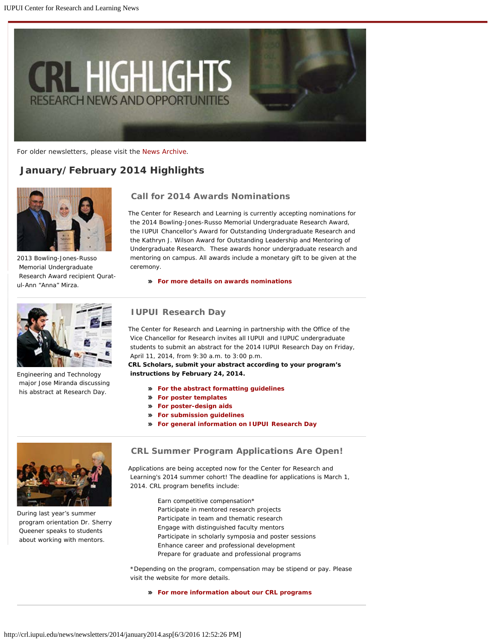<span id="page-0-0"></span>

For older newsletters, please visit the [News Archive](http://crl.iupui.edu/news/archive.asp).

# *January/February 2014 Highlights*



2013 Bowling-Jones-Russo Memorial Undergraduate Research Award recipient Quratul-Ann "Anna" Mirza.



Engineering and Technology major Jose Miranda discussing his abstract at Research Day.

## **Call for 2014 Awards Nominations**

The Center for Research and Learning is currently accepting nominations for the 2014 Bowling-Jones-Russo Memorial Undergraduate Research Award, the IUPUI Chancellor's Award for Outstanding Undergraduate Research and the Kathryn J. Wilson Award for Outstanding Leadership and Mentoring of Undergraduate Research. These awards honor undergraduate research and mentoring on campus. All awards include a monetary gift to be given at the ceremony.

**[For more details on awards nominations](http://www.crl.iupui.edu/awards/index.asp)**

### **IUPUI Research Day**

The Center for Research and Learning in partnership with the Office of the Vice Chancellor for Research invites all IUPUI and IUPUC undergraduate students to submit an abstract for the 2014 IUPUI Research Day on Friday, April 11, 2014, from 9:30 a.m. to 3:00 p.m.

**CRL Scholars, submit your abstract according to your program's instructions by February 24, 2014.**

- **[For the abstract formatting guidelines](http://www.crl.iupui.edu/assets/documents/AbstractFormattingGuidelines.pdf)**
- **[For poster templates](http://www.crl.iupui.edu/resources/poster-design.asp)**
- **[For poster-design aids](http://www.crl.iupui.edu/assets/documents/Research Poster 2013.pdf)**
- **[For submission guidelines](#page-0-0)**
- **[For general information on IUPUI Research Day](#page-0-0)**



During last year's summer program orientation Dr. Sherry Queener speaks to students about working with mentors.

### **CRL Summer Program Applications Are Open!**

Applications are being accepted now for the Center for Research and Learning's 2014 summer cohort! The deadline for applications is March 1, 2014. CRL program benefits include:

> Earn competitive compensation\* Participate in mentored research projects Participate in team and thematic research Engage with distinguished faculty mentors Participate in scholarly symposia and poster sessions Enhance career and professional development Prepare for graduate and professional programs

 \*Depending on the program, compensation may be stipend or pay. Please visit the website for more details.

#### **[For more information about our CRL programs](http://www.crl.iupui.edu/)**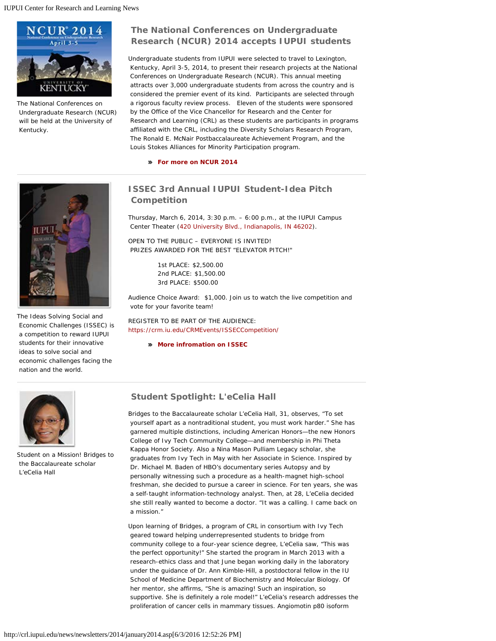

The National Conferences on Undergraduate Research (NCUR) will be held at the University of Kentucky.

# **The National Conferences on Undergraduate Research (NCUR) 2014 accepts IUPUI students**

Undergraduate students from IUPUI were selected to travel to Lexington, Kentucky, April 3-5, 2014, to present their research projects at the National Conferences on Undergraduate Research (NCUR). This annual meeting attracts over 3,000 undergraduate students from across the country and is considered the premier event of its kind. Participants are selected through a rigorous faculty review process. Eleven of the students were sponsored by the Office of the Vice Chancellor for Research and the Center for Research and Learning (CRL) as these students are participants in programs affiliated with the CRL, including the Diversity Scholars Research Program, The Ronald E. McNair Postbaccalaureate Achievement Program, and the Louis Stokes Alliances for Minority Participation program.

**[For more on NCUR 2014](http://www.cur.org/conferences_and_events/student_events/ncur/)**

# **ISSEC 3rd Annual IUPUI Student-Idea Pitch Competition**

Thursday, March 6, 2014, 3:30 p.m. – 6:00 p.m., at the IUPUI Campus Center Theater ([420 University Blvd., Indianapolis, IN 46202](https://maps.google.com/maps?q=Campus%20Center%20420%20University%20Blvd.%20Indianapolis,%20IN%2046202)).

OPEN TO THE PUBLIC – EVERYONE IS INVITED! PRIZES AWARDED FOR THE BEST "ELEVATOR PITCH!"

> 1st PLACE: \$2,500.00 2nd PLACE: \$1,500.00 3rd PLACE: \$500.00

Audience Choice Award: \$1,000. Join us to watch the live competition and vote for your favorite team!

REGISTER TO BE PART OF THE AUDIENCE: <https://crm.iu.edu/CRMEvents/ISSECCompetition/>

**[More infromation on ISSEC](http://www.crl.iupui.edu/issec/index.asp)**



The Ideas Solving Social and Economic Challenges (ISSEC) is a competition to reward IUPUI students for their innovative ideas to solve social and economic challenges facing the nation and the world.



Student on a Mission! Bridges to the Baccalaureate scholar L'eCelia Hall

## **Student Spotlight: L'eCelia Hall**

Bridges to the Baccalaureate scholar L'eCelia Hall, 31, observes, "To set yourself apart as a nontraditional student, you must work harder." She has garnered multiple distinctions, including American Honors—the new Honors College of Ivy Tech Community College—and membership in Phi Theta Kappa Honor Society. Also a Nina Mason Pulliam Legacy scholar, she graduates from Ivy Tech in May with her Associate in Science. Inspired by Dr. Michael M. Baden of HBO's documentary series *Autopsy* and by personally witnessing such a procedure as a health-magnet high-school freshman, she decided to pursue a career in science. For ten years, she was a self-taught information-technology analyst. Then, at 28, L'eCelia decided she still *really* wanted to become a doctor. "It was a calling. I came back on a mission."

Upon learning of Bridges, a program of CRL in consortium with Ivy Tech geared toward helping underrepresented students to bridge from community college to a four-year science degree, L'eCelia saw, "This was the perfect opportunity!" She started the program in March 2013 with a research-ethics class and that June began working daily in the laboratory under the guidance of Dr. Ann Kimble-Hill, a postdoctoral fellow in the IU School of Medicine Department of Biochemistry and Molecular Biology. Of her mentor, she affirms, "She is amazing! Such an inspiration, so supportive. She is *definitely* a role model!" L'eCelia's research addresses the proliferation of cancer cells in mammary tissues. Angiomotin p80 isoform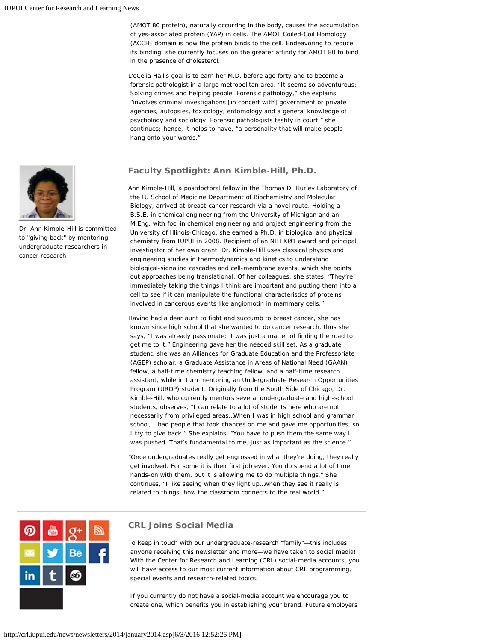(AMOT 80 protein), naturally occurring in the body, causes the accumulation of yes-associated protein (YAP) in cells. The AMOT Coiled-Coil Homology (ACCH) domain is how the protein binds to the cell. Endeavoring to reduce its binding, she currently focuses on the greater affinity for AMOT 80 to bind in the presence of cholesterol.

L'eCelia Hall's goal is to earn her M.D. before age forty and to become a forensic pathologist in a large metropolitan area. "It seems so adventurous: Solving crimes and helping people. Forensic pathology," she explains, "involves criminal investigations [in concert with] government or private agencies, autopsies, toxicology, entomology and a general knowledge of psychology and sociology. Forensic pathologists testify in court," she continues; hence, it helps to have, "a personality that will make people hang onto your words."





 Dr. Ann Kimble-Hill is committed to "giving back" by mentoring undergraduate researchers in cancer research

Ann Kimble-Hill, a postdoctoral fellow in the Thomas D. Hurley Laboratory of the IU School of Medicine Department of Biochemistry and Molecular Biology, arrived at breast-cancer research via a novel route. Holding a B.S.E. in chemical engineering from the University of Michigan and an M.Eng. with foci in chemical engineering and project engineering from the University of Illinois-Chicago, she earned a Ph.D. in biological and physical chemistry from IUPUI in 2008. Recipient of an NIH KØ1 award and principal investigator of her own grant, Dr. Kimble-Hill uses classical physics and engineering studies in thermodynamics and kinetics to understand biological-signaling cascades and cell-membrane events, which she points out approaches being translational. Of her colleagues, she states, "They're immediately taking the things I think are important and putting them into a cell to see if it can manipulate the functional characteristics of proteins involved in cancerous events like angiomotin in mammary cells."

Having had a dear aunt to fight and succumb to breast cancer, she has known since high school that she wanted to do cancer research, thus she says, "I was already passionate; it was just a matter of finding the road to get me to it." Engineering gave her the needed skill set. As a graduate student, she was an Alliances for Graduate Education and the Professoriate (AGEP) scholar, a Graduate Assistance in Areas of National Need (GAAN) fellow, a half-time chemistry teaching fellow, and a half-time research assistant, while in turn mentoring an Undergraduate Research Opportunities Program (UROP) student. Originally from the South Side of Chicago, Dr. Kimble-Hill, who currently mentors several undergraduate and high-school students, observes, "I can relate to a lot of students here who are not necessarily from privileged areas…When I was in high school and grammar school, I had people that took chances on me and gave me opportunities, so I try to give back." She explains, "You have to push them the same way I was pushed. That's fundamental to me, just as important as the science."

"Once undergraduates really get engrossed in what they're doing, they really get involved. For some it is their first job ever. You do spend a lot of time hands-on with them, but it is allowing me to do multiple things." She continues, "I like seeing when they light up…when they see it really is related to things, how the classroom connects to the real world."



### **CRL Joins Social Media**

To keep in touch with our undergraduate-research "family"—this includes anyone receiving this newsletter and more—we have taken to social media! With the Center for Research and Learning (CRL) social-media accounts, you will have access to our most current information about CRL programming, special events and research-related topics.

If you currently do not have a social-media account we encourage you to create one, which benefits you in establishing your brand. Future employers